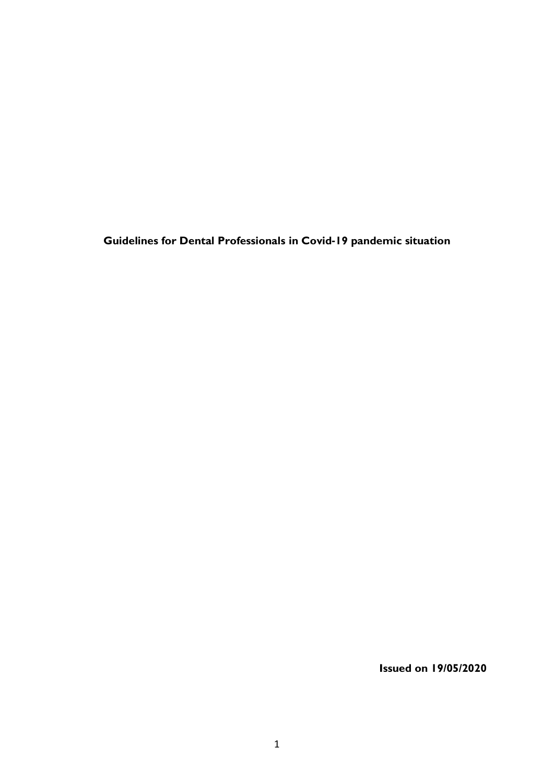**Guidelines for Dental Professionals in Covid-19 pandemic situation**

**Issued on 19/05/2020**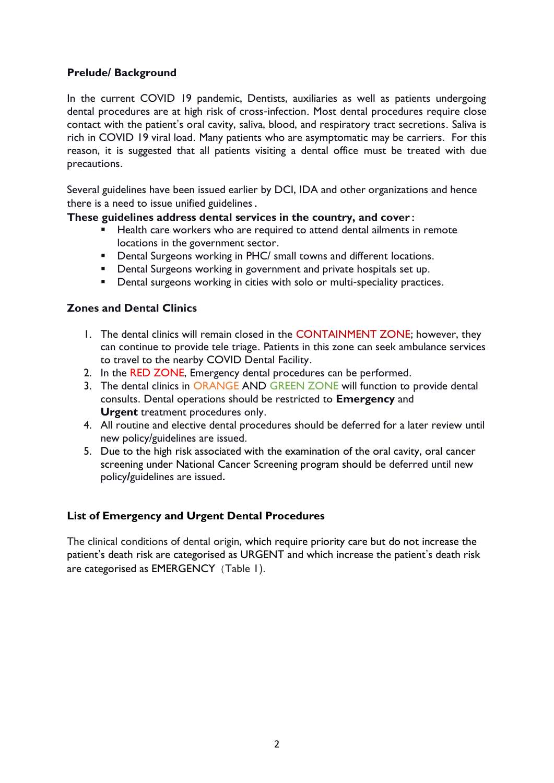# **Prelude/ Background**

In the current COVID 19 pandemic, Dentists, auxiliaries as well as patients undergoing dental procedures are at high risk of cross-infection. Most dental procedures require close contact with the patient's oral cavity, saliva, blood, and respiratory tract secretions. Saliva is rich in COVID 19 viral load. Many patients who are asymptomatic may be carriers. For this reason, it is suggested that all patients visiting a dental office must be treated with due precautions.

Several guidelines have been issued earlier by DCI, IDA and other organizations and hence there is a need to issue unified guidelines.

### **These guidelines address dental services in the country, and cover:**

- Health care workers who are required to attend dental ailments in remote locations in the government sector.
- **•** Dental Surgeons working in PHC/ small towns and different locations.
- **Dental Surgeons working in government and private hospitals set up.**
- **•** Dental surgeons working in cities with solo or multi-speciality practices.

# **Zones and Dental Clinics**

- 1. The dental clinics will remain closed in the CONTAINMENT ZONE; however, they can continue to provide tele triage. Patients in this zone can seek ambulance services to travel to the nearby COVID Dental Facility.
- 2. In the RED ZONE, Emergency dental procedures can be performed.
- 3. The dental clinics in ORANGE AND GREEN ZONE will function to provide dental consults. Dental operations should be restricted to **Emergency** and **Urgent** treatment procedures only.
- 4. All routine and elective dental procedures should be deferred for a later review until new policy/guidelines are issued.
- 5. Due to the high risk associated with the examination of the oral cavity, oral cancer screening under National Cancer Screening program should be deferred until new policy**/**guidelines are issued**.**

# **List of Emergency and Urgent Dental Procedures**

The clinical conditions of dental origin, which require priority care but do not increase the patient's death risk are categorised as URGENT and which increase the patient's death risk are categorised as EMERGENCY (Table 1).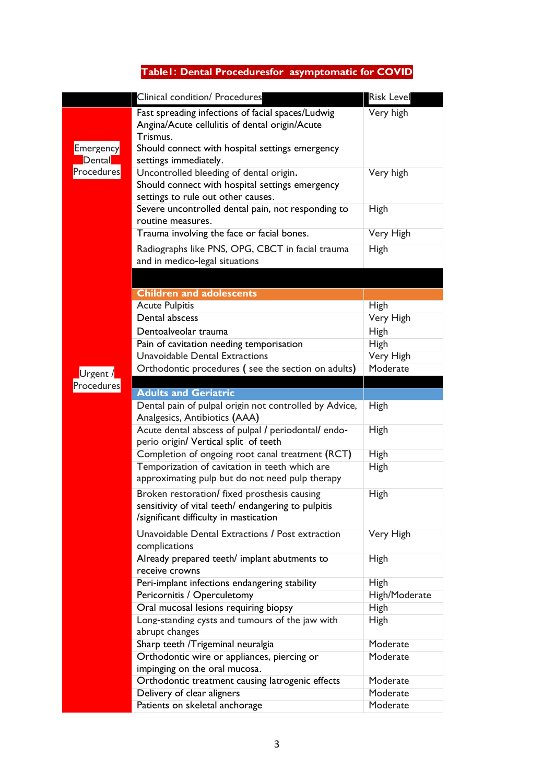# **Table1: Dental Proceduresfor asymptomatic for COVID**

|                     | Clinical condition/ Procedures                                                                                                                                                              | <b>Risk Level</b>    |
|---------------------|---------------------------------------------------------------------------------------------------------------------------------------------------------------------------------------------|----------------------|
| Emergency<br>Dental | Fast spreading infections of facial spaces/Ludwig<br>Angina/Acute cellulitis of dental origin/Acute<br>Trismus.<br>Should connect with hospital settings emergency<br>settings immediately. | Very high            |
| Procedures          | Uncontrolled bleeding of dental origin.<br>Should connect with hospital settings emergency<br>settings to rule out other causes.                                                            | Very high            |
|                     | Severe uncontrolled dental pain, not responding to<br>routine measures.                                                                                                                     | High                 |
|                     | Trauma involving the face or facial bones.                                                                                                                                                  | Very High            |
|                     | Radiographs like PNS, OPG, CBCT in facial trauma<br>and in medico-legal situations                                                                                                          | High                 |
|                     |                                                                                                                                                                                             |                      |
|                     | <b>Children and adolescents</b>                                                                                                                                                             |                      |
|                     | <b>Acute Pulpitis</b>                                                                                                                                                                       | <b>High</b>          |
|                     | Dental abscess                                                                                                                                                                              | Very High            |
|                     | Dentoalveolar trauma                                                                                                                                                                        | High                 |
|                     | Pain of cavitation needing temporisation                                                                                                                                                    | <b>High</b>          |
|                     | Unavoidable Dental Extractions                                                                                                                                                              | Very High            |
| Urgent /            | Orthodontic procedures (see the section on adults)                                                                                                                                          | Moderate             |
| Procedures          | <b>Adults and Geriatric</b>                                                                                                                                                                 |                      |
|                     | Dental pain of pulpal origin not controlled by Advice,                                                                                                                                      | High                 |
|                     | Analgesics, Antibiotics (AAA)                                                                                                                                                               |                      |
|                     | Acute dental abscess of pulpal / periodontal/ endo-<br>perio origin/ Vertical split of teeth                                                                                                | <b>High</b>          |
|                     | Completion of ongoing root canal treatment (RCT)                                                                                                                                            | High                 |
|                     | Temporization of cavitation in teeth which are<br>approximating pulp but do not need pulp therapy                                                                                           | <b>High</b>          |
|                     | Broken restoration/ fixed prosthesis causing<br>sensitivity of vital teeth/ endangering to pulpitis<br>/significant difficulty in mastication                                               | <b>High</b>          |
|                     | Unavoidable Dental Extractions / Post extraction<br>complications                                                                                                                           | Very High            |
|                     | Already prepared teeth/ implant abutments to<br>receive crowns                                                                                                                              | <b>High</b>          |
|                     | Peri-implant infections endangering stability                                                                                                                                               | <b>High</b>          |
|                     | Pericornitis / Operculetomy                                                                                                                                                                 | High/Moderate        |
|                     | Oral mucosal lesions requiring biopsy                                                                                                                                                       | <b>High</b>          |
|                     | Long-standing cysts and tumours of the jaw with<br>abrupt changes                                                                                                                           | <b>High</b>          |
|                     | Sharp teeth / Trigeminal neuralgia                                                                                                                                                          | Moderate             |
|                     | Orthodontic wire or appliances, piercing or                                                                                                                                                 | Moderate             |
|                     | impinging on the oral mucosa.                                                                                                                                                               |                      |
|                     | Orthodontic treatment causing latrogenic effects<br>Delivery of clear aligners                                                                                                              | Moderate<br>Moderate |
|                     | Patients on skeletal anchorage                                                                                                                                                              | Moderate             |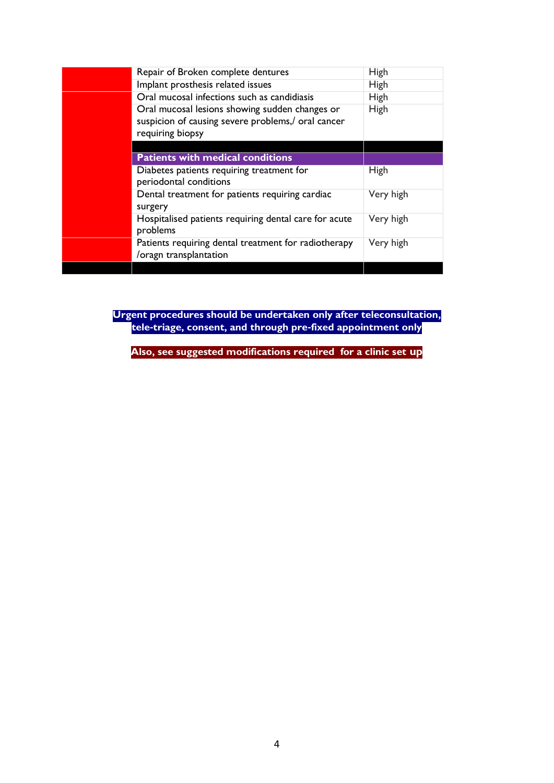|  | Repair of Broken complete dentures                                                                                       | High        |  |
|--|--------------------------------------------------------------------------------------------------------------------------|-------------|--|
|  | Implant prosthesis related issues                                                                                        | <b>High</b> |  |
|  | Oral mucosal infections such as candidiasis                                                                              | <b>High</b> |  |
|  | Oral mucosal lesions showing sudden changes or<br>suspicion of causing severe problems,/ oral cancer<br>requiring biopsy | <b>High</b> |  |
|  |                                                                                                                          |             |  |
|  | <b>Patients with medical conditions</b>                                                                                  |             |  |
|  | Diabetes patients requiring treatment for<br>periodontal conditions                                                      | <b>High</b> |  |
|  | Dental treatment for patients requiring cardiac<br>surgery                                                               | Very high   |  |
|  | Hospitalised patients requiring dental care for acute<br>problems                                                        | Very high   |  |
|  | Patients requiring dental treatment for radiotherapy<br>/oragn transplantation                                           | Very high   |  |
|  |                                                                                                                          |             |  |

**Urgent procedures should be undertaken only after teleconsultation, tele-triage, consent, and through pre-fixed appointment only**

**Also, see suggested modifications required for a clinic set up**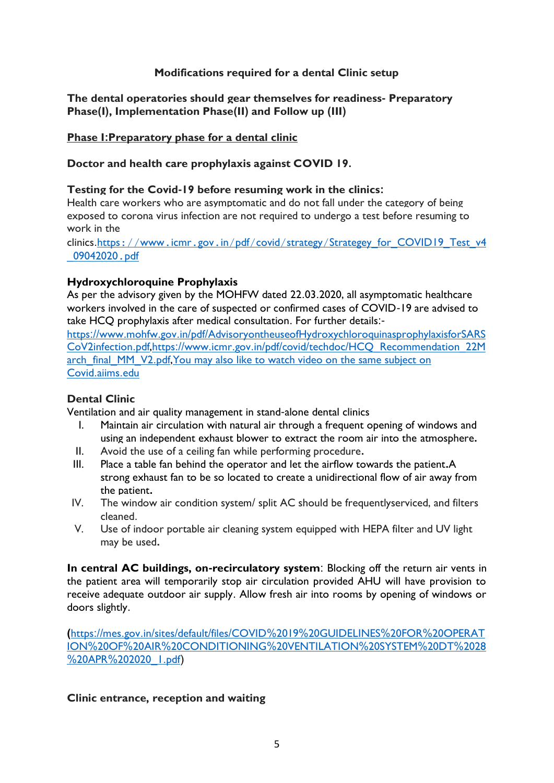### **Modifications required for a dental Clinic setup**

#### **The dental operatories should gear themselves for readiness- Preparatory Phase(I), Implementation Phase(II) and Follow up (III)**

### **Phase I:Preparatory phase for a dental clinic**

### **Doctor and health care prophylaxis against COVID 19.**

### **Testing for the Covid-19 before resuming work in the clinics:**

Health care workers who are asymptomatic and do not fall under the category of being exposed to corona virus infection are not required to undergo a test before resuming to work in the

clinics.https://www.icmr.gov.in/pdf/covid/strategy/[Strategey\\_for\\_COVID19\\_Test\\_v4](https://www.icmr.gov.in/pdf/covid/strategy/Strategey_for_COVID19_Test_v4_09042020.pdf) [\\_09042020](https://www.icmr.gov.in/pdf/covid/strategy/Strategey_for_COVID19_Test_v4_09042020.pdf).pdf

### **Hydroxychloroquine Prophylaxis**

As per the advisory given by the MOHFW dated 22.03.2020, all asymptomatic healthcare workers involved in the care of suspected or confirmed cases of COVID-19 are advised to take HCQ prophylaxis after medical consultation. For further details:-

https://www.mohfw.gov.in/pdf/[AdvisoryontheuseofHydroxychloroquinasprophylaxisforSARS](https://www.mohfw.gov.in/pdf/AdvisoryontheuseofHydroxychloroquinasprophylaxisforSARSCoV2infection.pdf) [CoV2infection](https://www.mohfw.gov.in/pdf/AdvisoryontheuseofHydroxychloroquinasprophylaxisforSARSCoV2infection.pdf).pdf,https://www.icmr.gov.in/pdf/covid/techdoc/[HCQ\\_Recommendation\\_22M](https://www.icmr.gov.in/pdf/covid/techdoc/HCQ_Recommendation_22March_final_MM_V2.pdf) [arch\\_final\\_MM\\_V2](https://www.icmr.gov.in/pdf/covid/techdoc/HCQ_Recommendation_22March_final_MM_V2.pdf).pdf, You may also like to watch video on the same subject on Covid.aiims.edu

### **Dental Clinic**

Ventilation and air quality management in stand-alone dental clinics

- I. Maintain air circulation with natural air through a frequent opening of windows and using an independent exhaust blower to extract the room air into the atmosphere**.**
- II. Avoid the use of a ceiling fan while performing procedure**.**
- III. Place a table fan behind the operator and let the airflow towards the patient**.**A strong exhaust fan to be so located to create a unidirectional flow of air away from the patient**.**
- IV. The window air condition system/ split AC should be frequentlyserviced, and filters cleaned.
- V. Use of indoor portable air cleaning system equipped with HEPA filter and UV light may be used**.**

**In central AC buildings, on-recirculatory system**: Blocking off the return air vents in the patient area will temporarily stop air circulation provided AHU will have provision to receive adequate outdoor air supply. Allow fresh air into rooms by opening of windows or doors slightly.

**(**https://mes.gov.in/sites/default/files/COVID%2019%[20GUIDELINES](https://mes.gov.in/sites/default/files/COVID%2019%20GUIDELINES%20FOR%20OPERATION%20OF%20AIR%20CONDITIONING%20VENTILATION%20SYSTEM%20DT%2028%20APR%202020_1.pdf)%20FOR%20OPERAT ION%20OF%20AIR%[20CONDITIONING](https://mes.gov.in/sites/default/files/COVID%2019%20GUIDELINES%20FOR%20OPERATION%20OF%20AIR%20CONDITIONING%20VENTILATION%20SYSTEM%20DT%2028%20APR%202020_1.pdf)%20VENTILATION%20SYSTEM%20DT%2028 %20APR%202020\_L.pdf)

# **Clinic entrance, reception and waiting**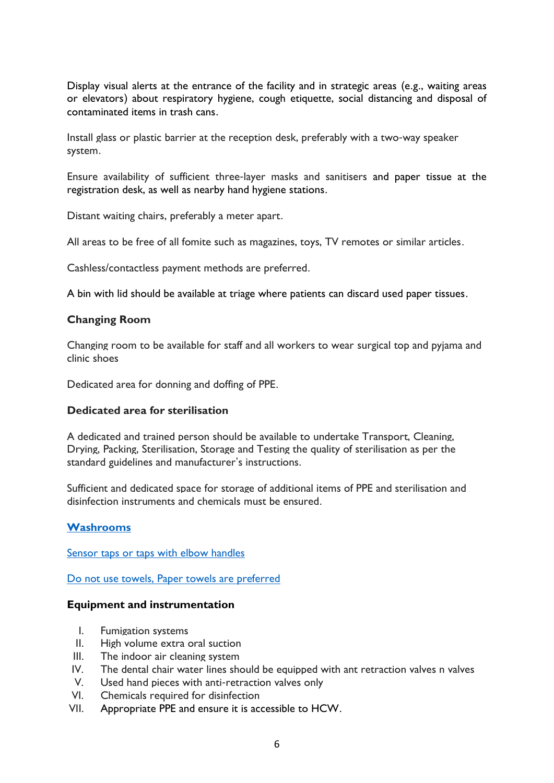Display visual alerts at the entrance of the facility and in strategic areas (e.g., waiting areas or elevators) about respiratory hygiene, cough etiquette, social distancing and disposal of contaminated items in trash cans.

Install glass or plastic barrier at the reception desk, preferably with a two-way speaker system.

Ensure availability of sufficient three-layer masks and sanitisers and paper tissue at the registration desk, as well as nearby hand hygiene stations.

Distant waiting chairs, preferably a meter apart.

All areas to be free of all fomite such as magazines, toys, TV remotes or similar articles.

Cashless/contactless payment methods are preferred.

A bin with lid should be available at triage where patients can discard used paper tissues.

#### **Changing Room**

Changing room to be available for staff and all workers to wear surgical top and pyjama and clinic shoes

Dedicated area for donning and doffing of PPE.

#### **Dedicated area for sterilisation**

A dedicated and trained person should be available to undertake Transport, Cleaning, Drying, Packing, Sterilisation, Storage and Testing the quality of sterilisation as per the standard guidelines and manufacturer's instructions.

Sufficient and dedicated space for storage of additional items of PPE and sterilisation and disinfection instruments and chemicals must be ensured.

#### **Washrooms**

Sensor taps or taps with elbow handles

Do not use towels, Paper towels are preferred

#### **Equipment and instrumentation**

- I. Fumigation systems
- II. High volume extra oral suction
- III. The indoor air cleaning system
- IV. The dental chair water lines should be equipped with ant retraction valves n valves
- V. Used hand pieces with anti-retraction valves only
- VI. Chemicals required for disinfection
- VII. Appropriate PPE and ensure it is accessible to HCW.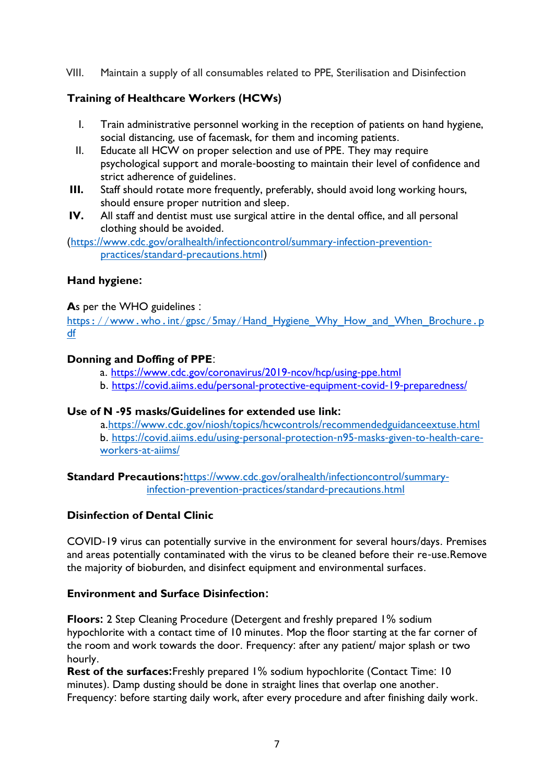VIII. Maintain a supply of all consumables related to PPE, Sterilisation and Disinfection

# **Training of Healthcare Workers (HCWs)**

- I. Train administrative personnel working in the reception of patients on hand hygiene, social distancing, use of facemask, for them and incoming patients.
- II. Educate all HCW on proper selection and use of PPE. They may require psychological support and morale-boosting to maintain their level of confidence and strict adherence of guidelines.
- **III.** Staff should rotate more frequently, preferably, should avoid long working hours, should ensure proper nutrition and sleep.
- **IV.** All staff and dentist must use surgical attire in the dental office, and all personal clothing should be avoided.

(https://www.cdc.gov/oralhealth/[infectioncontrol](https://www.cdc.gov/oralhealth/infectioncontrol/summary-infection-prevention-practices/standard-precautions.html)/summary-infection-preventionpractices/standard-[precautions](https://www.cdc.gov/oralhealth/infectioncontrol/summary-infection-prevention-practices/standard-precautions.html).html)

# **Hand hygiene:**

# **A**s per the WHO guidelines :

https://www.who.int/gpsc/5may/[Hand\\_Hygiene\\_Why\\_How\\_and\\_When\\_Brochure](https://www.who.int/gpsc/5may/Hand_Hygiene_Why_How_and_When_Brochure.pdf).p [df](https://www.who.int/gpsc/5may/Hand_Hygiene_Why_How_and_When_Brochure.pdf)

# **Donning and Doffing of PPE**:

- a. https://www.cdc.gov/[coronavirus](https://www.cdc.gov/coronavirus/2019-ncov/hcp/using-ppe.html)/2019-ncov/hcp/using-ppe.html
- b. https://covid.aiims.edu/personal-protective-equipment-covid-19-[preparedness](https://covid.aiims.edu/personal-protective-equipment-covid-19-preparedness/)/

### **Use of N -95 masks/Guidelines for extended use link:**

a.https://www.cdc.gov/niosh/topics/hcwcontrols/[recommendedguidanceextuse](https://www.cdc.gov/niosh/topics/hcwcontrols/recommendedguidanceextuse.html).html b. https://covid.aiims.edu/using-personal-[protection](https://covid.aiims.edu/using-personal-protection-n95-masks-given-to-health-care-workers-at-aiims/)-n95-masks-given-to-health-care[workers](https://covid.aiims.edu/using-personal-protection-n95-masks-given-to-health-care-workers-at-aiims/)-at-aiims/

**Standard Precautions:**https://www.cdc.gov/oralhealth/[infectioncontrol](https://www.cdc.gov/oralhealth/infectioncontrol/summary-infection-prevention-practices/standard-precautions.html)/summaryinfection-prevention-practices/standard-[precautions](https://www.cdc.gov/oralhealth/infectioncontrol/summary-infection-prevention-practices/standard-precautions.html).html

# **Disinfection of Dental Clinic**

COVID-19 virus can potentially survive in the environment for several hours/days. Premises and areas potentially contaminated with the virus to be cleaned before their re-use.Remove the majority of bioburden, and disinfect equipment and environmental surfaces.

### **Environment and Surface Disinfection:**

**Floors:** 2 Step Cleaning Procedure (Detergent and freshly prepared 1% sodium hypochlorite with a contact time of 10 minutes. Mop the floor starting at the far corner of the room and work towards the door. Frequency: after any patient/ major splash or two hourly.

**Rest of the surfaces:**Freshly prepared 1% sodium hypochlorite (Contact Time: 10 minutes). Damp dusting should be done in straight lines that overlap one another. Frequency: before starting daily work, after every procedure and after finishing daily work.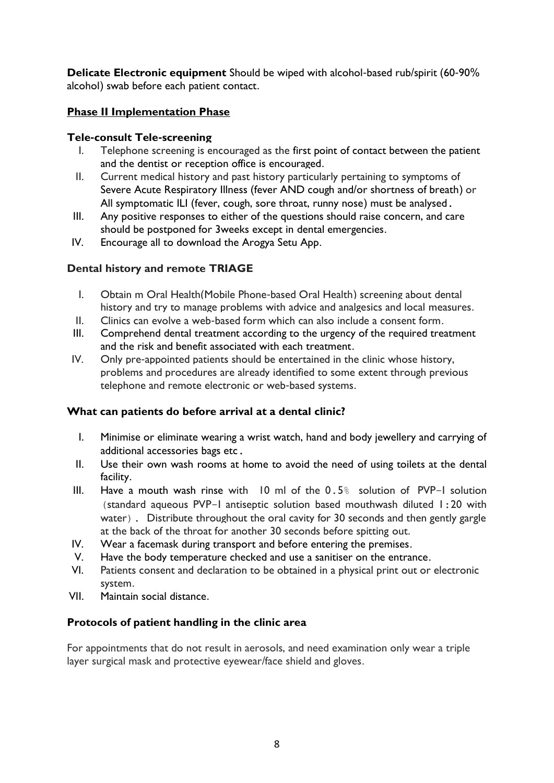**Delicate Electronic equipment** Should be wiped with alcohol-based rub/spirit (60-90% alcohol) swab before each patient contact.

# **Phase II Implementation Phase**

# **Tele-consult Tele-screening**

- I. Telephone screening is encouraged as the first point of contact between the patient and the dentist or reception office is encouraged.
- II. Current medical history and past history particularly pertaining to symptoms of Severe Acute Respiratory Illness (fever AND cough and/or shortness of breath) or All symptomatic ILI (fever, cough, sore throat, runny nose) must be analysed.
- III. Any positive responses to either of the questions should raise concern, and care should be postponed for 3weeks except in dental emergencies.
- IV. Encourage all to download the Arogya Setu App.

# **Dental history and remote TRIAGE**

- I. Obtain m Oral Health(Mobile Phone-based Oral Health) screening about dental history and try to manage problems with advice and analgesics and local measures.
- II. Clinics can evolve a web-based form which can also include a consent form.
- III. Comprehend dental treatment according to the urgency of the required treatment and the risk and benefit associated with each treatment.
- IV. Only pre-appointed patients should be entertained in the clinic whose history, problems and procedures are already identified to some extent through previous telephone and remote electronic or web-based systems.

# **What can patients do before arrival at a dental clinic?**

- I. Minimise or eliminate wearing a wrist watch, hand and body jewellery and carrying of additional accessories bags etc.
- II. Use their own wash rooms at home to avoid the need of using toilets at the dental facility.
- III. Have a mouth wash rinse with 10 ml of the 0.5% solution of PVP-I solution (standard aqueous PVP-I antiseptic solution based mouthwash diluted 1:20 with water). Distribute throughout the oral cavity for 30 seconds and then gently gargle at the back of the throat for another 30 seconds before spitting out.
- IV. Wear a facemask during transport and before entering the premises.
- V. Have the body temperature checked and use a sanitiser on the entrance.
- VI. Patients consent and declaration to be obtained in a physical print out or electronic system.
- VII. Maintain social distance.

# **Protocols of patient handling in the clinic area**

For appointments that do not result in aerosols, and need examination only wear a triple layer surgical mask and protective eyewear/face shield and gloves.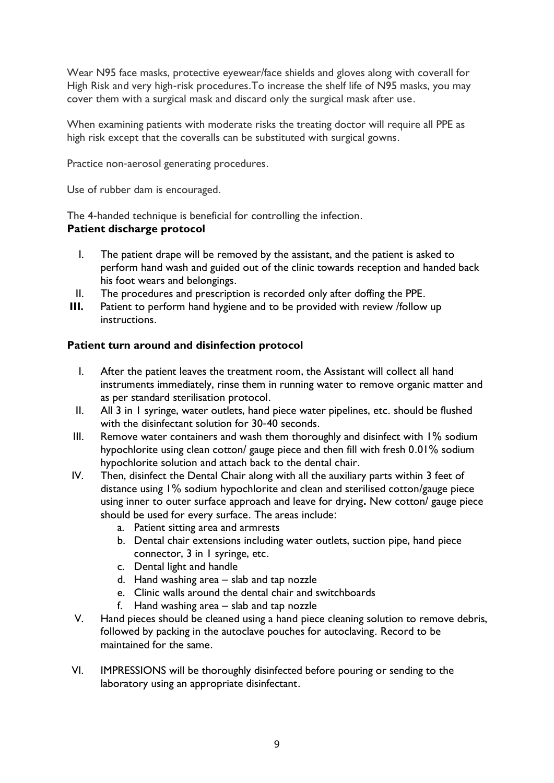Wear N95 face masks, protective eyewear/face shields and gloves along with coverall for High Risk and very high-risk procedures.To increase the shelf life of N95 masks, you may cover them with a surgical mask and discard only the surgical mask after use.

When examining patients with moderate risks the treating doctor will require all PPE as high risk except that the coveralls can be substituted with surgical gowns.

Practice non-aerosol generating procedures.

Use of rubber dam is encouraged.

The 4-handed technique is beneficial for controlling the infection. **Patient discharge protocol** 

- I. The patient drape will be removed by the assistant, and the patient is asked to perform hand wash and guided out of the clinic towards reception and handed back his foot wears and belongings.
- II. The procedures and prescription is recorded only after doffing the PPE.
- **III.** Patient to perform hand hygiene and to be provided with review /follow up instructions.

# **Patient turn around and disinfection protocol**

- I. After the patient leaves the treatment room, the Assistant will collect all hand instruments immediately, rinse them in running water to remove organic matter and as per standard sterilisation protocol.
- II. All 3 in 1 syringe, water outlets, hand piece water pipelines, etc. should be flushed with the disinfectant solution for 30-40 seconds.
- III. Remove water containers and wash them thoroughly and disinfect with 1% sodium hypochlorite using clean cotton/ gauge piece and then fill with fresh 0.01% sodium hypochlorite solution and attach back to the dental chair.
- IV. Then, disinfect the Dental Chair along with all the auxiliary parts within 3 feet of distance using 1% sodium hypochlorite and clean and sterilised cotton/gauge piece using inner to outer surface approach and leave for drying**.** New cotton/ gauge piece should be used for every surface. The areas include:
	- a. Patient sitting area and armrests
	- b. Dental chair extensions including water outlets, suction pipe, hand piece connector, 3 in 1 syringe, etc.
	- c. Dental light and handle
	- d. Hand washing area slab and tap nozzle
	- e. Clinic walls around the dental chair and switchboards
	- f. Hand washing area slab and tap nozzle
- V. Hand pieces should be cleaned using a hand piece cleaning solution to remove debris, followed by packing in the autoclave pouches for autoclaving. Record to be maintained for the same.
- VI. IMPRESSIONS will be thoroughly disinfected before pouring or sending to the laboratory using an appropriate disinfectant.